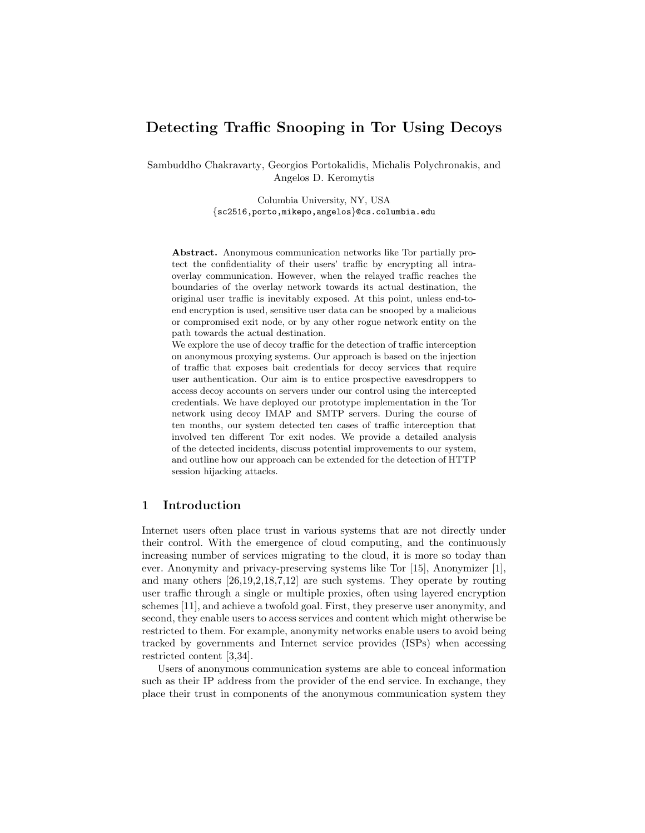# Detecting Traffic Snooping in Tor Using Decoys

Sambuddho Chakravarty, Georgios Portokalidis, Michalis Polychronakis, and Angelos D. Keromytis

> Columbia University, NY, USA {sc2516,porto,mikepo,angelos}@cs.columbia.edu

Abstract. Anonymous communication networks like Tor partially protect the confidentiality of their users' traffic by encrypting all intraoverlay communication. However, when the relayed traffic reaches the boundaries of the overlay network towards its actual destination, the original user traffic is inevitably exposed. At this point, unless end-toend encryption is used, sensitive user data can be snooped by a malicious or compromised exit node, or by any other rogue network entity on the path towards the actual destination.

We explore the use of decoy traffic for the detection of traffic interception on anonymous proxying systems. Our approach is based on the injection of traffic that exposes bait credentials for decoy services that require user authentication. Our aim is to entice prospective eavesdroppers to access decoy accounts on servers under our control using the intercepted credentials. We have deployed our prototype implementation in the Tor network using decoy IMAP and SMTP servers. During the course of ten months, our system detected ten cases of traffic interception that involved ten different Tor exit nodes. We provide a detailed analysis of the detected incidents, discuss potential improvements to our system, and outline how our approach can be extended for the detection of HTTP session hijacking attacks.

# 1 Introduction

Internet users often place trust in various systems that are not directly under their control. With the emergence of cloud computing, and the continuously increasing number of services migrating to the cloud, it is more so today than ever. Anonymity and privacy-preserving systems like Tor [\[15\]](#page-19-0), Anonymizer [\[1\]](#page-18-0), and many others [\[26](#page-19-1)[,19,](#page-19-2)[2,](#page-18-1)[18,](#page-19-3)[7](#page-18-2)[,12\]](#page-18-3) are such systems. They operate by routing user traffic through a single or multiple proxies, often using layered encryption schemes [\[11\]](#page-18-4), and achieve a twofold goal. First, they preserve user anonymity, and second, they enable users to access services and content which might otherwise be restricted to them. For example, anonymity networks enable users to avoid being tracked by governments and Internet service provides (ISPs) when accessing restricted content [\[3](#page-18-5)[,34\]](#page-19-4).

Users of anonymous communication systems are able to conceal information such as their IP address from the provider of the end service. In exchange, they place their trust in components of the anonymous communication system they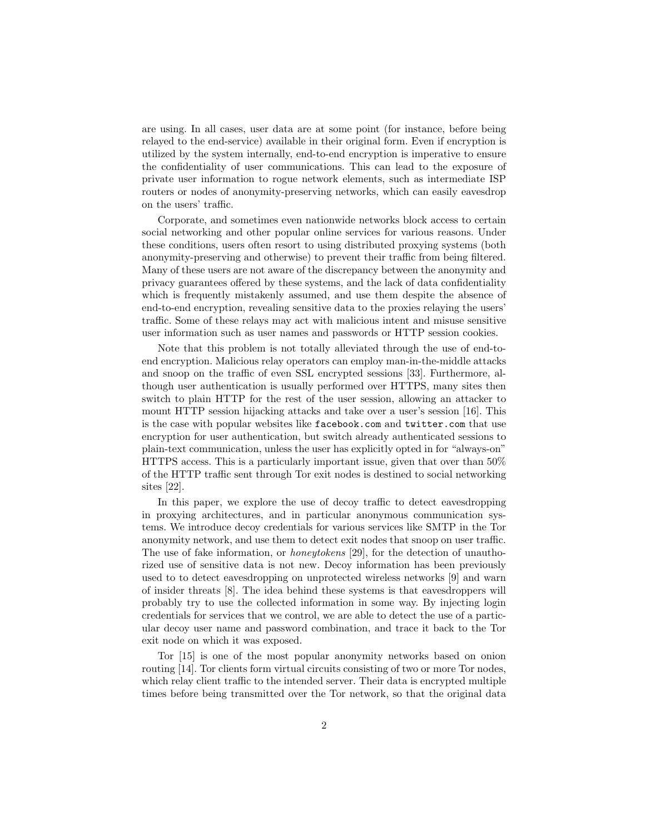are using. In all cases, user data are at some point (for instance, before being relayed to the end-service) available in their original form. Even if encryption is utilized by the system internally, end-to-end encryption is imperative to ensure the confidentiality of user communications. This can lead to the exposure of private user information to rogue network elements, such as intermediate ISP routers or nodes of anonymity-preserving networks, which can easily eavesdrop on the users' traffic.

Corporate, and sometimes even nationwide networks block access to certain social networking and other popular online services for various reasons. Under these conditions, users often resort to using distributed proxying systems (both anonymity-preserving and otherwise) to prevent their traffic from being filtered. Many of these users are not aware of the discrepancy between the anonymity and privacy guarantees offered by these systems, and the lack of data confidentiality which is frequently mistakenly assumed, and use them despite the absence of end-to-end encryption, revealing sensitive data to the proxies relaying the users' traffic. Some of these relays may act with malicious intent and misuse sensitive user information such as user names and passwords or HTTP session cookies.

Note that this problem is not totally alleviated through the use of end-toend encryption. Malicious relay operators can employ man-in-the-middle attacks and snoop on the traffic of even SSL encrypted sessions [\[33\]](#page-19-5). Furthermore, although user authentication is usually performed over HTTPS, many sites then switch to plain HTTP for the rest of the user session, allowing an attacker to mount HTTP session hijacking attacks and take over a user's session [\[16\]](#page-19-6). This is the case with popular websites like facebook.com and twitter.com that use encryption for user authentication, but switch already authenticated sessions to plain-text communication, unless the user has explicitly opted in for "always-on" HTTPS access. This is a particularly important issue, given that over than 50% of the HTTP traffic sent through Tor exit nodes is destined to social networking sites [\[22\]](#page-19-7).

In this paper, we explore the use of decoy traffic to detect eavesdropping in proxying architectures, and in particular anonymous communication systems. We introduce decoy credentials for various services like SMTP in the Tor anonymity network, and use them to detect exit nodes that snoop on user traffic. The use of fake information, or honeytokens [\[29\]](#page-19-8), for the detection of unauthorized use of sensitive data is not new. Decoy information has been previously used to to detect eavesdropping on unprotected wireless networks [\[9\]](#page-18-6) and warn of insider threats [\[8\]](#page-18-7). The idea behind these systems is that eavesdroppers will probably try to use the collected information in some way. By injecting login credentials for services that we control, we are able to detect the use of a particular decoy user name and password combination, and trace it back to the Tor exit node on which it was exposed.

Tor [\[15\]](#page-19-0) is one of the most popular anonymity networks based on onion routing [\[14\]](#page-18-8). Tor clients form virtual circuits consisting of two or more Tor nodes, which relay client traffic to the intended server. Their data is encrypted multiple times before being transmitted over the Tor network, so that the original data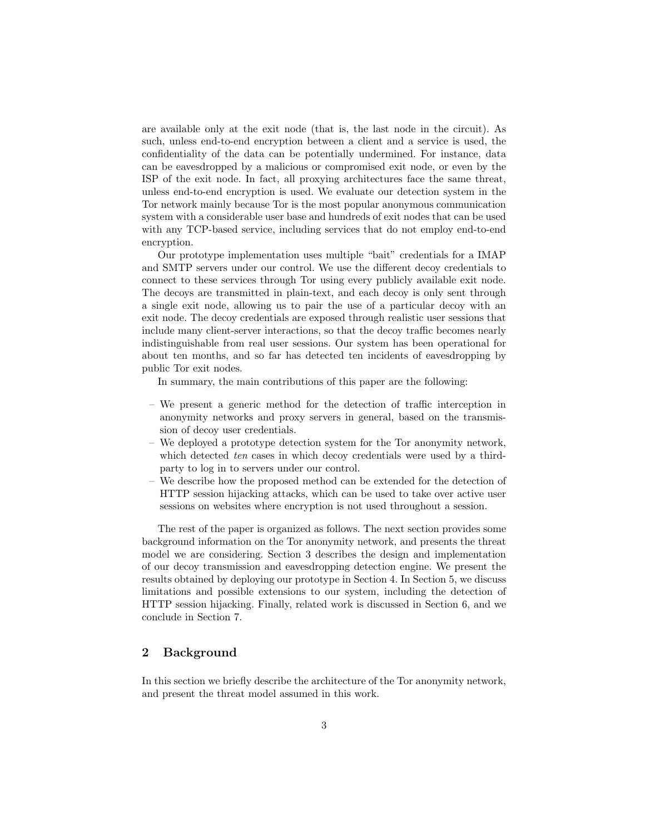are available only at the exit node (that is, the last node in the circuit). As such, unless end-to-end encryption between a client and a service is used, the confidentiality of the data can be potentially undermined. For instance, data can be eavesdropped by a malicious or compromised exit node, or even by the ISP of the exit node. In fact, all proxying architectures face the same threat, unless end-to-end encryption is used. We evaluate our detection system in the Tor network mainly because Tor is the most popular anonymous communication system with a considerable user base and hundreds of exit nodes that can be used with any TCP-based service, including services that do not employ end-to-end encryption.

Our prototype implementation uses multiple "bait" credentials for a IMAP and SMTP servers under our control. We use the different decoy credentials to connect to these services through Tor using every publicly available exit node. The decoys are transmitted in plain-text, and each decoy is only sent through a single exit node, allowing us to pair the use of a particular decoy with an exit node. The decoy credentials are exposed through realistic user sessions that include many client-server interactions, so that the decoy traffic becomes nearly indistinguishable from real user sessions. Our system has been operational for about ten months, and so far has detected ten incidents of eavesdropping by public Tor exit nodes.

In summary, the main contributions of this paper are the following:

- We present a generic method for the detection of traffic interception in anonymity networks and proxy servers in general, based on the transmission of decoy user credentials.
- We deployed a prototype detection system for the Tor anonymity network, which detected ten cases in which decoy credentials were used by a thirdparty to log in to servers under our control.
- We describe how the proposed method can be extended for the detection of HTTP session hijacking attacks, which can be used to take over active user sessions on websites where encryption is not used throughout a session.

The rest of the paper is organized as follows. The next section provides some background information on the Tor anonymity network, and presents the threat model we are considering. Section [3](#page-4-0) describes the design and implementation of our decoy transmission and eavesdropping detection engine. We present the results obtained by deploying our prototype in Section [4.](#page-9-0) In Section [5,](#page-13-0) we discuss limitations and possible extensions to our system, including the detection of HTTP session hijacking. Finally, related work is discussed in Section [6,](#page-16-0) and we conclude in Section [7.](#page-17-0)

# 2 Background

In this section we briefly describe the architecture of the Tor anonymity network, and present the threat model assumed in this work.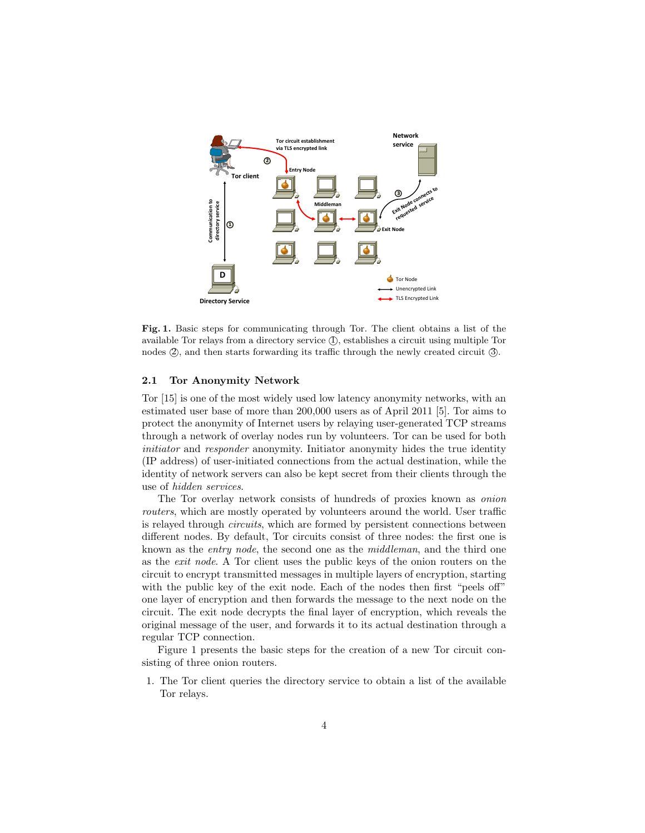

<span id="page-3-0"></span>Fig. 1. Basic steps for communicating through Tor. The client obtains a list of the available Tor relays from a directory service  $(1)$ , establishes a circuit using multiple Tor nodes  $(2)$ , and then starts forwarding its traffic through the newly created circuit  $(3)$ .

#### 2.1 Tor Anonymity Network

Tor [\[15\]](#page-19-0) is one of the most widely used low latency anonymity networks, with an estimated user base of more than 200,000 users as of April 2011 [\[5\]](#page-18-9). Tor aims to protect the anonymity of Internet users by relaying user-generated TCP streams through a network of overlay nodes run by volunteers. Tor can be used for both initiator and responder anonymity. Initiator anonymity hides the true identity (IP address) of user-initiated connections from the actual destination, while the identity of network servers can also be kept secret from their clients through the use of hidden services.

The Tor overlay network consists of hundreds of proxies known as onion routers, which are mostly operated by volunteers around the world. User traffic is relayed through circuits, which are formed by persistent connections between different nodes. By default, Tor circuits consist of three nodes: the first one is known as the entry node, the second one as the middleman, and the third one as the exit node. A Tor client uses the public keys of the onion routers on the circuit to encrypt transmitted messages in multiple layers of encryption, starting with the public key of the exit node. Each of the nodes then first "peels off" one layer of encryption and then forwards the message to the next node on the circuit. The exit node decrypts the final layer of encryption, which reveals the original message of the user, and forwards it to its actual destination through a regular TCP connection.

Figure [1](#page-3-0) presents the basic steps for the creation of a new Tor circuit consisting of three onion routers.

1. The Tor client queries the directory service to obtain a list of the available Tor relays.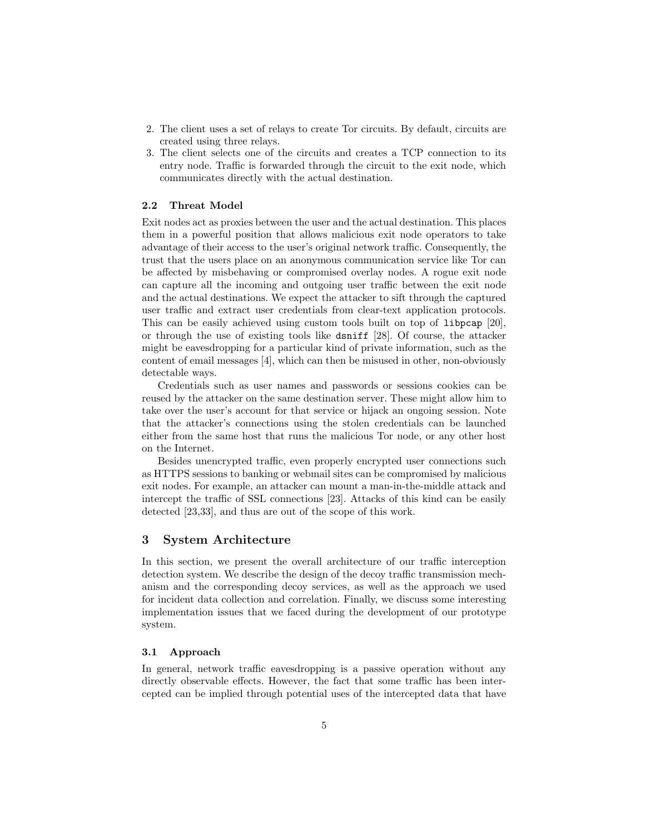- 2. The client uses a set of relays to create Tor circuits. By default, circuits are created using three relays.
- 3. The client selects one of the circuits and creates a TCP connection to its entry node. Traffic is forwarded through the circuit to the exit node, which communicates directly with the actual destination.

#### 2.2 Threat Model

Exit nodes act as proxies between the user and the actual destination. This places them in a powerful position that allows malicious exit node operators to take advantage of their access to the user's original network traffic. Consequently, the trust that the users place on an anonymous communication service like Tor can be affected by misbehaving or compromised overlay nodes. A rogue exit node can capture all the incoming and outgoing user traffic between the exit node and the actual destinations. We expect the attacker to sift through the captured user traffic and extract user credentials from clear-text application protocols. This can be easily achieved using custom tools built on top of libpcap [\[20\]](#page-19-9), or through the use of existing tools like dsniff [\[28\]](#page-19-10). Of course, the attacker might be eavesdropping for a particular kind of private information, such as the content of email messages [\[4\]](#page-18-10), which can then be misused in other, non-obviously detectable ways.

Credentials such as user names and passwords or sessions cookies can be reused by the attacker on the same destination server. These might allow him to take over the user's account for that service or hijack an ongoing session. Note that the attacker's connections using the stolen credentials can be launched either from the same host that runs the malicious Tor node, or any other host on the Internet.

Besides unencrypted traffic, even properly encrypted user connections such as HTTPS sessions to banking or webmail sites can be compromised by malicious exit nodes. For example, an attacker can mount a man-in-the-middle attack and intercept the traffic of SSL connections [\[23\]](#page-19-11). Attacks of this kind can be easily detected [\[23](#page-19-11)[,33\]](#page-19-5), and thus are out of the scope of this work.

## <span id="page-4-0"></span>3 System Architecture

In this section, we present the overall architecture of our traffic interception detection system. We describe the design of the decoy traffic transmission mechanism and the corresponding decoy services, as well as the approach we used for incident data collection and correlation. Finally, we discuss some interesting implementation issues that we faced during the development of our prototype system.

#### 3.1 Approach

In general, network traffic eavesdropping is a passive operation without any directly observable effects. However, the fact that some traffic has been intercepted can be implied through potential uses of the intercepted data that have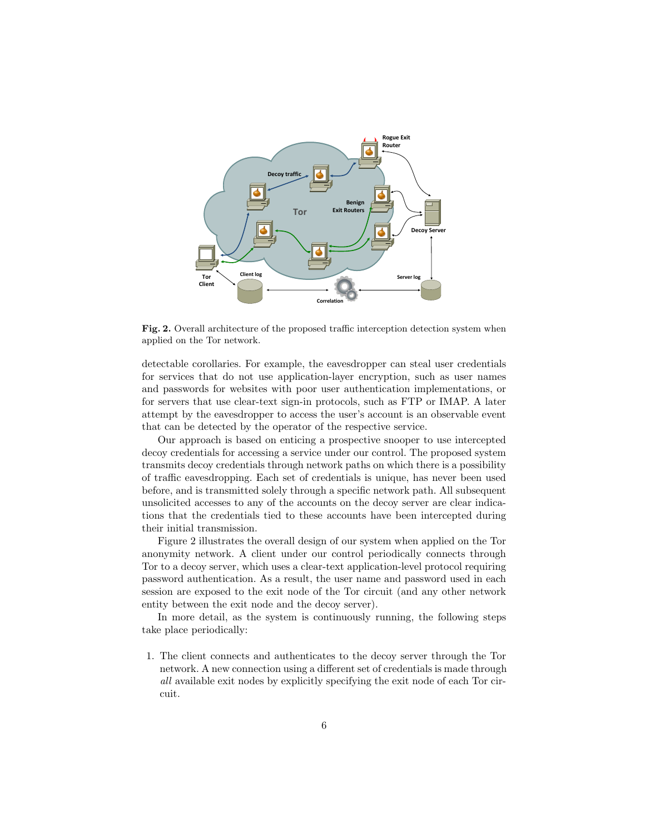

<span id="page-5-0"></span>Fig. 2. Overall architecture of the proposed traffic interception detection system when applied on the Tor network.

detectable corollaries. For example, the eavesdropper can steal user credentials for services that do not use application-layer encryption, such as user names and passwords for websites with poor user authentication implementations, or for servers that use clear-text sign-in protocols, such as FTP or IMAP. A later attempt by the eavesdropper to access the user's account is an observable event that can be detected by the operator of the respective service.

Our approach is based on enticing a prospective snooper to use intercepted decoy credentials for accessing a service under our control. The proposed system transmits decoy credentials through network paths on which there is a possibility of traffic eavesdropping. Each set of credentials is unique, has never been used before, and is transmitted solely through a specific network path. All subsequent unsolicited accesses to any of the accounts on the decoy server are clear indications that the credentials tied to these accounts have been intercepted during their initial transmission.

Figure [2](#page-5-0) illustrates the overall design of our system when applied on the Tor anonymity network. A client under our control periodically connects through Tor to a decoy server, which uses a clear-text application-level protocol requiring password authentication. As a result, the user name and password used in each session are exposed to the exit node of the Tor circuit (and any other network entity between the exit node and the decoy server).

In more detail, as the system is continuously running, the following steps take place periodically:

1. The client connects and authenticates to the decoy server through the Tor network. A new connection using a different set of credentials is made through all available exit nodes by explicitly specifying the exit node of each Tor circuit.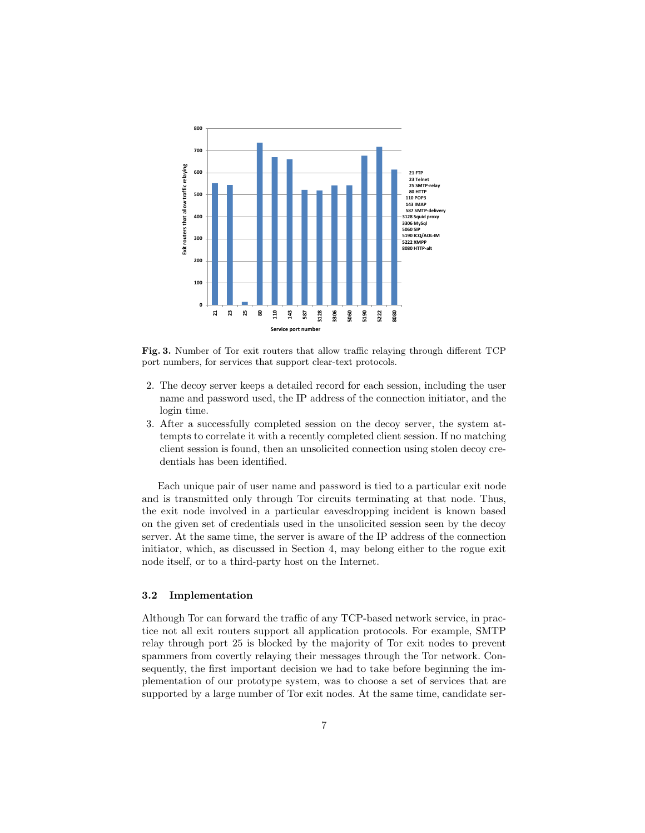

<span id="page-6-0"></span>Fig. 3. Number of Tor exit routers that allow traffic relaying through different TCP port numbers, for services that support clear-text protocols.

- 2. The decoy server keeps a detailed record for each session, including the user name and password used, the IP address of the connection initiator, and the login time.
- 3. After a successfully completed session on the decoy server, the system attempts to correlate it with a recently completed client session. If no matching client session is found, then an unsolicited connection using stolen decoy credentials has been identified.

Each unique pair of user name and password is tied to a particular exit node and is transmitted only through Tor circuits terminating at that node. Thus, the exit node involved in a particular eavesdropping incident is known based on the given set of credentials used in the unsolicited session seen by the decoy server. At the same time, the server is aware of the IP address of the connection initiator, which, as discussed in Section [4,](#page-9-0) may belong either to the rogue exit node itself, or to a third-party host on the Internet.

#### 3.2 Implementation

Although Tor can forward the traffic of any TCP-based network service, in practice not all exit routers support all application protocols. For example, SMTP relay through port 25 is blocked by the majority of Tor exit nodes to prevent spammers from covertly relaying their messages through the Tor network. Consequently, the first important decision we had to take before beginning the implementation of our prototype system, was to choose a set of services that are supported by a large number of Tor exit nodes. At the same time, candidate ser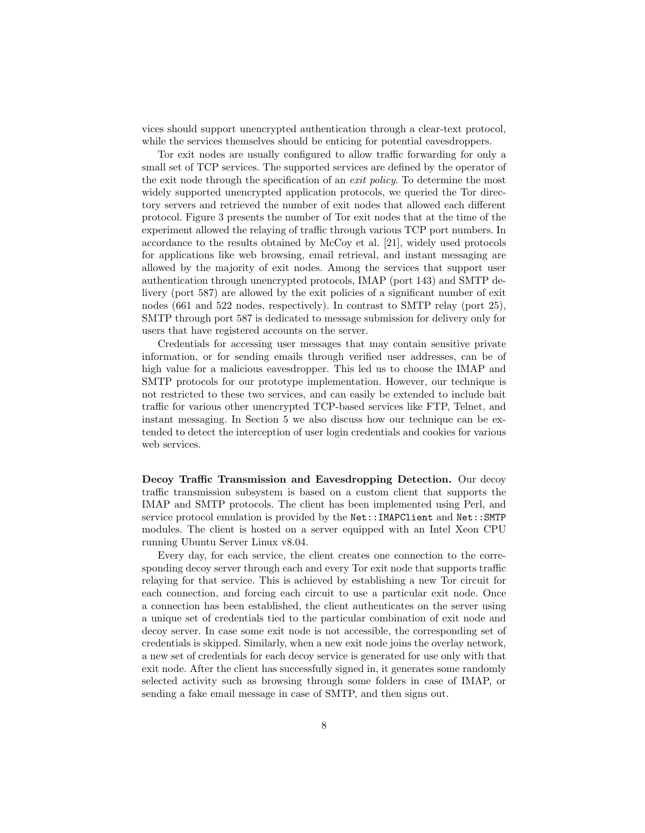vices should support unencrypted authentication through a clear-text protocol, while the services themselves should be enticing for potential eavesdroppers.

Tor exit nodes are usually configured to allow traffic forwarding for only a small set of TCP services. The supported services are defined by the operator of the exit node through the specification of an *exit policy*. To determine the most widely supported unencrypted application protocols, we queried the Tor directory servers and retrieved the number of exit nodes that allowed each different protocol. Figure [3](#page-6-0) presents the number of Tor exit nodes that at the time of the experiment allowed the relaying of traffic through various TCP port numbers. In accordance to the results obtained by McCoy et al. [\[21\]](#page-19-12), widely used protocols for applications like web browsing, email retrieval, and instant messaging are allowed by the majority of exit nodes. Among the services that support user authentication through unencrypted protocols, IMAP (port 143) and SMTP delivery (port 587) are allowed by the exit policies of a significant number of exit nodes (661 and 522 nodes, respectively). In contrast to SMTP relay (port 25), SMTP through port 587 is dedicated to message submission for delivery only for users that have registered accounts on the server.

Credentials for accessing user messages that may contain sensitive private information, or for sending emails through verified user addresses, can be of high value for a malicious eavesdropper. This led us to choose the IMAP and SMTP protocols for our prototype implementation. However, our technique is not restricted to these two services, and can easily be extended to include bait traffic for various other unencrypted TCP-based services like FTP, Telnet, and instant messaging. In Section [5](#page-13-0) we also discuss how our technique can be extended to detect the interception of user login credentials and cookies for various web services.

Decoy Traffic Transmission and Eavesdropping Detection. Our decoy traffic transmission subsystem is based on a custom client that supports the IMAP and SMTP protocols. The client has been implemented using Perl, and service protocol emulation is provided by the Net::IMAPClient and Net::SMTP modules. The client is hosted on a server equipped with an Intel Xeon CPU running Ubuntu Server Linux v8.04.

Every day, for each service, the client creates one connection to the corresponding decoy server through each and every Tor exit node that supports traffic relaying for that service. This is achieved by establishing a new Tor circuit for each connection, and forcing each circuit to use a particular exit node. Once a connection has been established, the client authenticates on the server using a unique set of credentials tied to the particular combination of exit node and decoy server. In case some exit node is not accessible, the corresponding set of credentials is skipped. Similarly, when a new exit node joins the overlay network, a new set of credentials for each decoy service is generated for use only with that exit node. After the client has successfully signed in, it generates some randomly selected activity such as browsing through some folders in case of IMAP, or sending a fake email message in case of SMTP, and then signs out.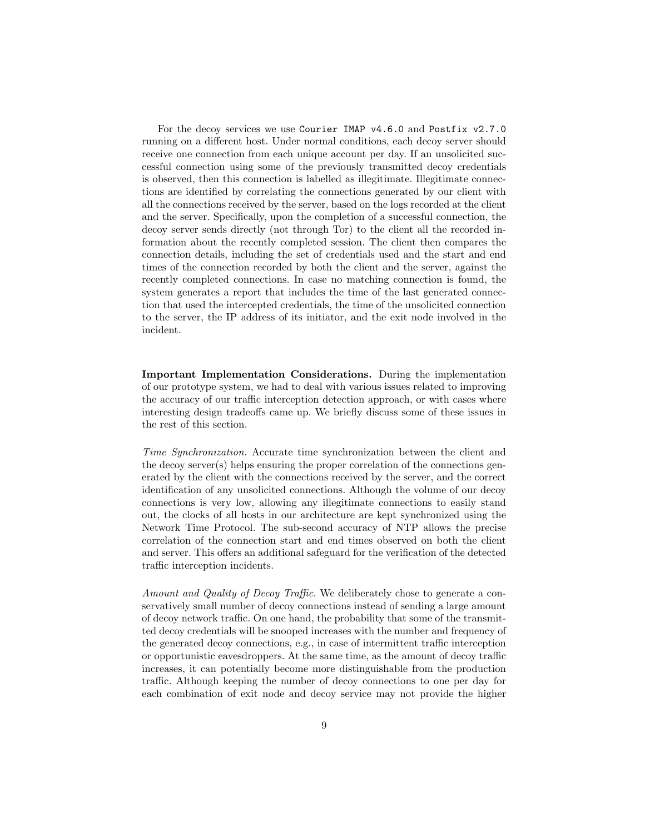For the decoy services we use Courier IMAP v4.6.0 and Postfix v2.7.0 running on a different host. Under normal conditions, each decoy server should receive one connection from each unique account per day. If an unsolicited successful connection using some of the previously transmitted decoy credentials is observed, then this connection is labelled as illegitimate. Illegitimate connections are identified by correlating the connections generated by our client with all the connections received by the server, based on the logs recorded at the client and the server. Specifically, upon the completion of a successful connection, the decoy server sends directly (not through Tor) to the client all the recorded information about the recently completed session. The client then compares the connection details, including the set of credentials used and the start and end times of the connection recorded by both the client and the server, against the recently completed connections. In case no matching connection is found, the system generates a report that includes the time of the last generated connection that used the intercepted credentials, the time of the unsolicited connection to the server, the IP address of its initiator, and the exit node involved in the incident.

Important Implementation Considerations. During the implementation of our prototype system, we had to deal with various issues related to improving the accuracy of our traffic interception detection approach, or with cases where interesting design tradeoffs came up. We briefly discuss some of these issues in the rest of this section.

Time Synchronization. Accurate time synchronization between the client and the decoy server(s) helps ensuring the proper correlation of the connections generated by the client with the connections received by the server, and the correct identification of any unsolicited connections. Although the volume of our decoy connections is very low, allowing any illegitimate connections to easily stand out, the clocks of all hosts in our architecture are kept synchronized using the Network Time Protocol. The sub-second accuracy of NTP allows the precise correlation of the connection start and end times observed on both the client and server. This offers an additional safeguard for the verification of the detected traffic interception incidents.

Amount and Quality of Decoy Traffic. We deliberately chose to generate a conservatively small number of decoy connections instead of sending a large amount of decoy network traffic. On one hand, the probability that some of the transmitted decoy credentials will be snooped increases with the number and frequency of the generated decoy connections, e.g., in case of intermittent traffic interception or opportunistic eavesdroppers. At the same time, as the amount of decoy traffic increases, it can potentially become more distinguishable from the production traffic. Although keeping the number of decoy connections to one per day for each combination of exit node and decoy service may not provide the higher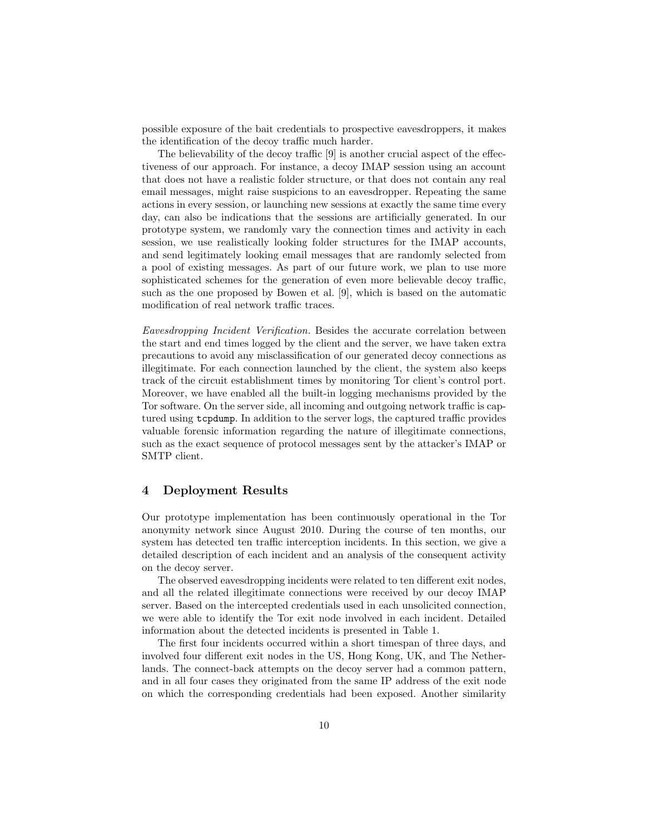possible exposure of the bait credentials to prospective eavesdroppers, it makes the identification of the decoy traffic much harder.

The believability of the decoy traffic [\[9\]](#page-18-6) is another crucial aspect of the effectiveness of our approach. For instance, a decoy IMAP session using an account that does not have a realistic folder structure, or that does not contain any real email messages, might raise suspicions to an eavesdropper. Repeating the same actions in every session, or launching new sessions at exactly the same time every day, can also be indications that the sessions are artificially generated. In our prototype system, we randomly vary the connection times and activity in each session, we use realistically looking folder structures for the IMAP accounts, and send legitimately looking email messages that are randomly selected from a pool of existing messages. As part of our future work, we plan to use more sophisticated schemes for the generation of even more believable decoy traffic, such as the one proposed by Bowen et al. [\[9\]](#page-18-6), which is based on the automatic modification of real network traffic traces.

Eavesdropping Incident Verification. Besides the accurate correlation between the start and end times logged by the client and the server, we have taken extra precautions to avoid any misclassification of our generated decoy connections as illegitimate. For each connection launched by the client, the system also keeps track of the circuit establishment times by monitoring Tor client's control port. Moreover, we have enabled all the built-in logging mechanisms provided by the Tor software. On the server side, all incoming and outgoing network traffic is captured using tcpdump. In addition to the server logs, the captured traffic provides valuable forensic information regarding the nature of illegitimate connections, such as the exact sequence of protocol messages sent by the attacker's IMAP or SMTP client.

# <span id="page-9-0"></span>4 Deployment Results

Our prototype implementation has been continuously operational in the Tor anonymity network since August 2010. During the course of ten months, our system has detected ten traffic interception incidents. In this section, we give a detailed description of each incident and an analysis of the consequent activity on the decoy server.

The observed eavesdropping incidents were related to ten different exit nodes, and all the related illegitimate connections were received by our decoy IMAP server. Based on the intercepted credentials used in each unsolicited connection, we were able to identify the Tor exit node involved in each incident. Detailed information about the detected incidents is presented in Table [1.](#page-10-0)

The first four incidents occurred within a short timespan of three days, and involved four different exit nodes in the US, Hong Kong, UK, and The Netherlands. The connect-back attempts on the decoy server had a common pattern, and in all four cases they originated from the same IP address of the exit node on which the corresponding credentials had been exposed. Another similarity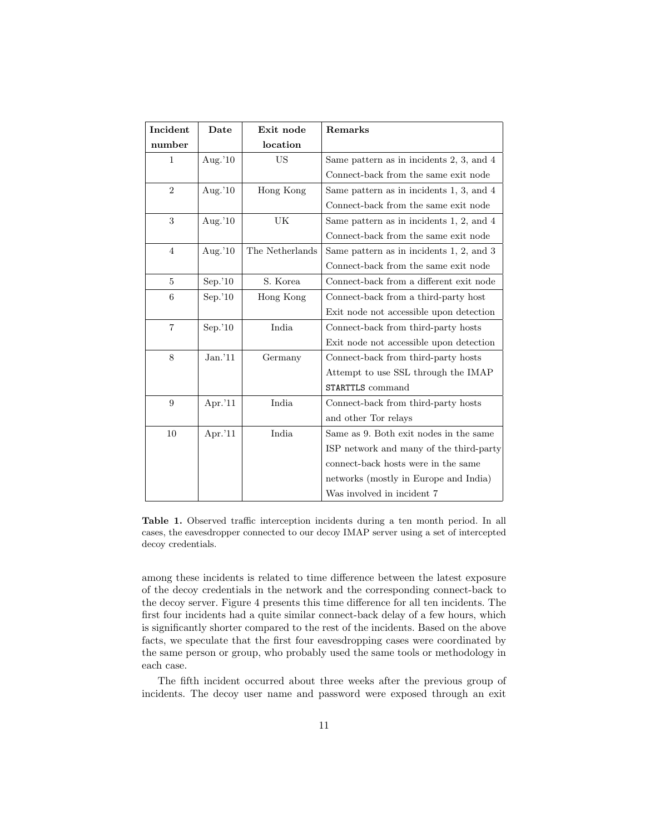| Incident       | Date       | Exit node       | Remarks                                  |
|----------------|------------|-----------------|------------------------------------------|
| number         |            | location        |                                          |
| $\mathbf{1}$   | Aug. $'10$ | US              | Same pattern as in incidents 2, 3, and 4 |
|                |            |                 | Connect-back from the same exit node     |
| $\overline{2}$ | Aug. $'10$ | Hong Kong       | Same pattern as in incidents 1, 3, and 4 |
|                |            |                 | Connect-back from the same exit node     |
| 3              | Aug. $'10$ | UK              | Same pattern as in incidents 1, 2, and 4 |
|                |            |                 | Connect-back from the same exit node     |
| $\overline{4}$ | Aug. $'10$ | The Netherlands | Same pattern as in incidents 1, 2, and 3 |
|                |            |                 | Connect-back from the same exit node     |
| $\overline{5}$ | Sep.10     | S. Korea        | Connect-back from a different exit node  |
| 6              | Sep.'10    | Hong Kong       | Connect-back from a third-party host     |
|                |            |                 | Exit node not accessible upon detection  |
| $\overline{7}$ | Sep.10     | India           | Connect-back from third-party hosts      |
|                |            |                 | Exit node not accessible upon detection  |
| 8              | Jan.'11    | Germany         | Connect-back from third-party hosts      |
|                |            |                 | Attempt to use SSL through the IMAP      |
|                |            |                 | STARTTLS command                         |
| 9              | Apr. $'11$ | India           | Connect-back from third-party hosts      |
|                |            |                 | and other Tor relays                     |
| 10             | Apr. $'11$ | India           | Same as 9. Both exit nodes in the same   |
|                |            |                 | ISP network and many of the third-party  |
|                |            |                 | connect-back hosts were in the same      |
|                |            |                 | networks (mostly in Europe and India)    |
|                |            |                 | Was involved in incident 7               |

<span id="page-10-0"></span>Table 1. Observed traffic interception incidents during a ten month period. In all cases, the eavesdropper connected to our decoy IMAP server using a set of intercepted decoy credentials.

among these incidents is related to time difference between the latest exposure of the decoy credentials in the network and the corresponding connect-back to the decoy server. Figure [4](#page-11-0) presents this time difference for all ten incidents. The first four incidents had a quite similar connect-back delay of a few hours, which is significantly shorter compared to the rest of the incidents. Based on the above facts, we speculate that the first four eavesdropping cases were coordinated by the same person or group, who probably used the same tools or methodology in each case.

The fifth incident occurred about three weeks after the previous group of incidents. The decoy user name and password were exposed through an exit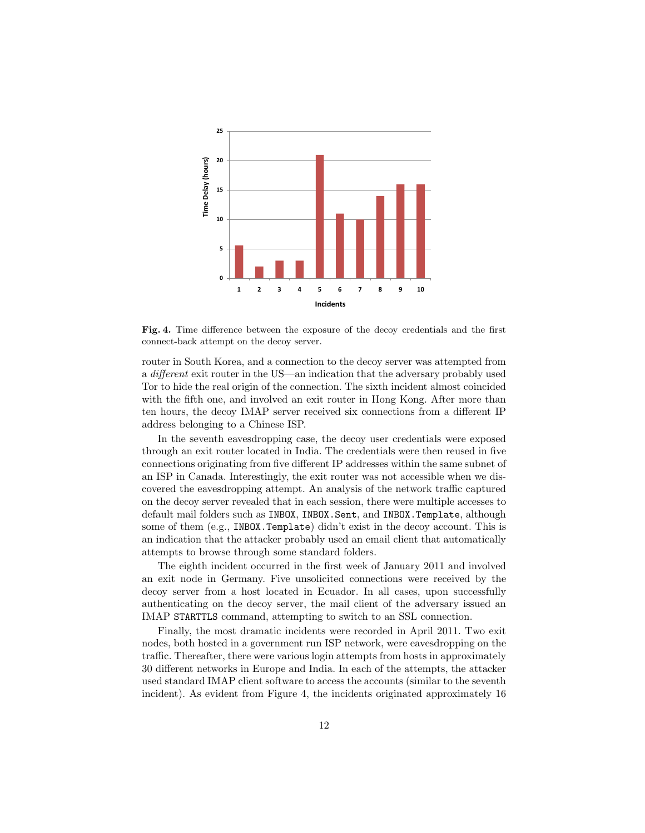

<span id="page-11-0"></span>Fig. 4. Time difference between the exposure of the decoy credentials and the first connect-back attempt on the decoy server.

router in South Korea, and a connection to the decoy server was attempted from a different exit router in the US—an indication that the adversary probably used Tor to hide the real origin of the connection. The sixth incident almost coincided with the fifth one, and involved an exit router in Hong Kong. After more than ten hours, the decoy IMAP server received six connections from a different IP address belonging to a Chinese ISP.

In the seventh eavesdropping case, the decoy user credentials were exposed through an exit router located in India. The credentials were then reused in five connections originating from five different IP addresses within the same subnet of an ISP in Canada. Interestingly, the exit router was not accessible when we discovered the eavesdropping attempt. An analysis of the network traffic captured on the decoy server revealed that in each session, there were multiple accesses to default mail folders such as INBOX, INBOX.Sent, and INBOX.Template, although some of them (e.g., INBOX.Template) didn't exist in the decoy account. This is an indication that the attacker probably used an email client that automatically attempts to browse through some standard folders.

The eighth incident occurred in the first week of January 2011 and involved an exit node in Germany. Five unsolicited connections were received by the decoy server from a host located in Ecuador. In all cases, upon successfully authenticating on the decoy server, the mail client of the adversary issued an IMAP STARTTLS command, attempting to switch to an SSL connection.

Finally, the most dramatic incidents were recorded in April 2011. Two exit nodes, both hosted in a government run ISP network, were eavesdropping on the traffic. Thereafter, there were various login attempts from hosts in approximately 30 different networks in Europe and India. In each of the attempts, the attacker used standard IMAP client software to access the accounts (similar to the seventh incident). As evident from Figure [4,](#page-11-0) the incidents originated approximately 16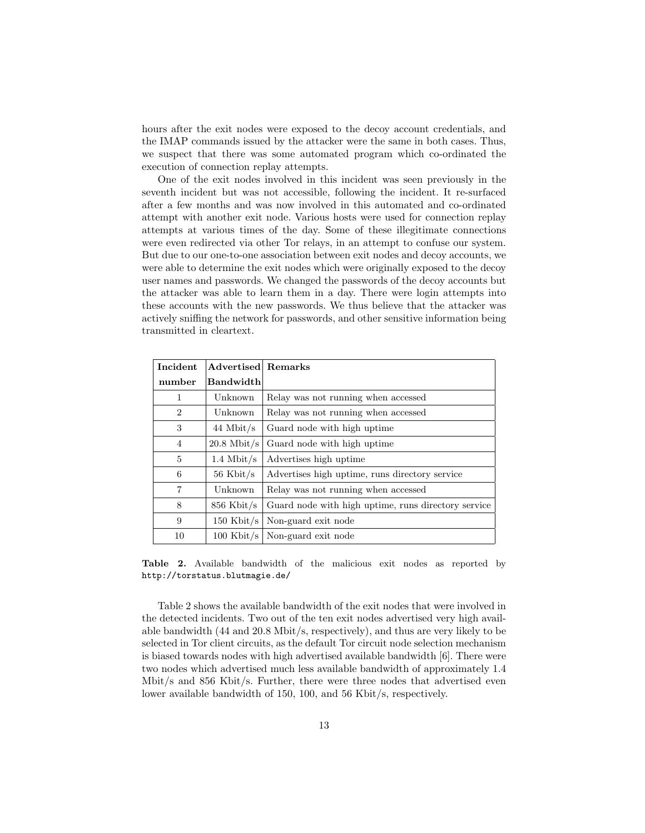hours after the exit nodes were exposed to the decoy account credentials, and the IMAP commands issued by the attacker were the same in both cases. Thus, we suspect that there was some automated program which co-ordinated the execution of connection replay attempts.

One of the exit nodes involved in this incident was seen previously in the seventh incident but was not accessible, following the incident. It re-surfaced after a few months and was now involved in this automated and co-ordinated attempt with another exit node. Various hosts were used for connection replay attempts at various times of the day. Some of these illegitimate connections were even redirected via other Tor relays, in an attempt to confuse our system. But due to our one-to-one association between exit nodes and decoy accounts, we were able to determine the exit nodes which were originally exposed to the decoy user names and passwords. We changed the passwords of the decoy accounts but the attacker was able to learn them in a day. There were login attempts into these accounts with the new passwords. We thus believe that the attacker was actively sniffing the network for passwords, and other sensitive information being transmitted in cleartext.

| Incident       | Advertised Remarks |                                                     |
|----------------|--------------------|-----------------------------------------------------|
| number         | <b>Bandwidth</b>   |                                                     |
| 1              | Unknown            | Relay was not running when accessed                 |
| $\overline{2}$ | Unknown            | Relay was not running when accessed                 |
| 3              | $44$ Mbit/s        | Guard node with high uptime                         |
| 4              | $20.8$ Mbit/s      | Guard node with high uptime                         |
| 5              | $1.4$ Mbit/s       | Advertises high uptime                              |
| 6              | $56$ Kbit/s        | Advertises high uptime, runs directory service      |
| 7              | Unknown            | Relay was not running when accessed                 |
| 8              | $856$ Kbit/s       | Guard node with high uptime, runs directory service |
| 9              | $150$ Kbit/s       | Non-guard exit node                                 |
| 10             | $100$ Kbit/s       | Non-guard exit node                                 |

<span id="page-12-0"></span>Table 2. Available bandwidth of the malicious exit nodes as reported by http://torstatus.blutmagie.de/

Table [2](#page-12-0) shows the available bandwidth of the exit nodes that were involved in the detected incidents. Two out of the ten exit nodes advertised very high available bandwidth (44 and 20.8 Mbit/s, respectively), and thus are very likely to be selected in Tor client circuits, as the default Tor circuit node selection mechanism is biased towards nodes with high advertised available bandwidth [\[6\]](#page-18-11). There were two nodes which advertised much less available bandwidth of approximately 1.4 Mbit/s and 856 Kbit/s. Further, there were three nodes that advertised even lower available bandwidth of 150, 100, and 56 Kbit/s, respectively.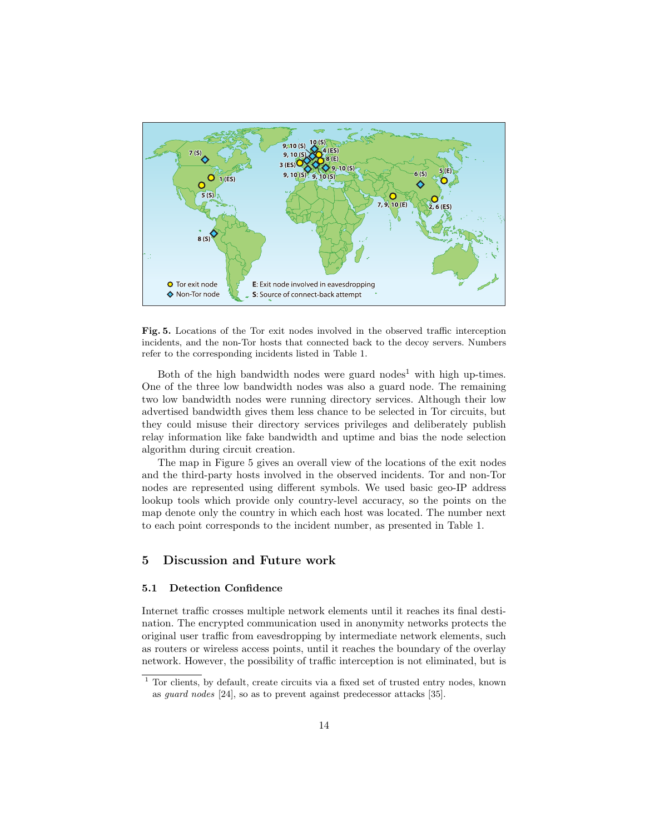

<span id="page-13-2"></span>Fig. 5. Locations of the Tor exit nodes involved in the observed traffic interception incidents, and the non-Tor hosts that connected back to the decoy servers. Numbers refer to the corresponding incidents listed in Table [1.](#page-10-0)

Both of the high bandwidth nodes were guard nodes<sup>[1](#page-13-1)</sup> with high up-times. One of the three low bandwidth nodes was also a guard node. The remaining two low bandwidth nodes were running directory services. Although their low advertised bandwidth gives them less chance to be selected in Tor circuits, but they could misuse their directory services privileges and deliberately publish relay information like fake bandwidth and uptime and bias the node selection algorithm during circuit creation.

The map in Figure [5](#page-13-2) gives an overall view of the locations of the exit nodes and the third-party hosts involved in the observed incidents. Tor and non-Tor nodes are represented using different symbols. We used basic geo-IP address lookup tools which provide only country-level accuracy, so the points on the map denote only the country in which each host was located. The number next to each point corresponds to the incident number, as presented in Table [1.](#page-10-0)

# <span id="page-13-0"></span>5 Discussion and Future work

#### 5.1 Detection Confidence

Internet traffic crosses multiple network elements until it reaches its final destination. The encrypted communication used in anonymity networks protects the original user traffic from eavesdropping by intermediate network elements, such as routers or wireless access points, until it reaches the boundary of the overlay network. However, the possibility of traffic interception is not eliminated, but is

<span id="page-13-1"></span> $1$  Tor clients, by default, create circuits via a fixed set of trusted entry nodes, known as guard nodes [\[24\]](#page-19-13), so as to prevent against predecessor attacks [\[35\]](#page-19-14).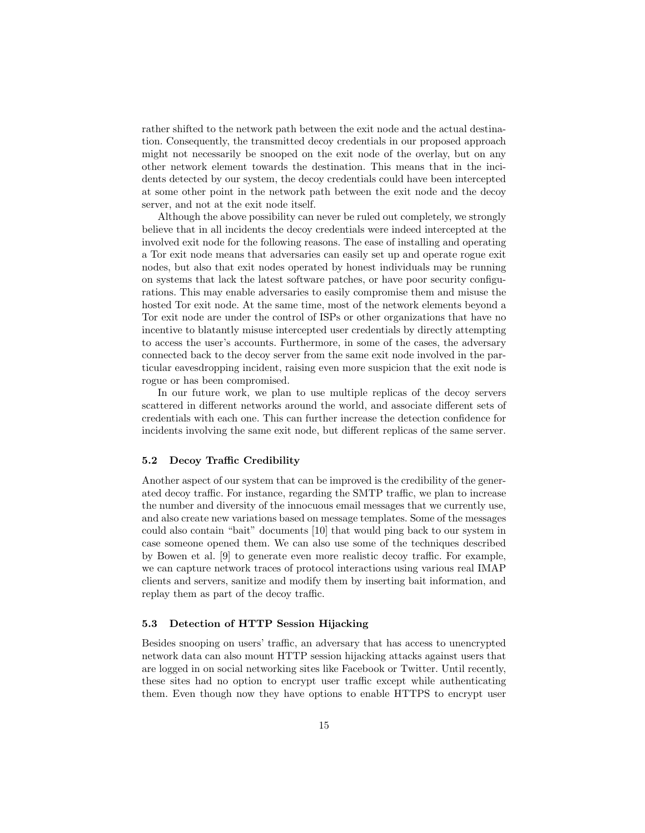rather shifted to the network path between the exit node and the actual destination. Consequently, the transmitted decoy credentials in our proposed approach might not necessarily be snooped on the exit node of the overlay, but on any other network element towards the destination. This means that in the incidents detected by our system, the decoy credentials could have been intercepted at some other point in the network path between the exit node and the decoy server, and not at the exit node itself.

Although the above possibility can never be ruled out completely, we strongly believe that in all incidents the decoy credentials were indeed intercepted at the involved exit node for the following reasons. The ease of installing and operating a Tor exit node means that adversaries can easily set up and operate rogue exit nodes, but also that exit nodes operated by honest individuals may be running on systems that lack the latest software patches, or have poor security configurations. This may enable adversaries to easily compromise them and misuse the hosted Tor exit node. At the same time, most of the network elements beyond a Tor exit node are under the control of ISPs or other organizations that have no incentive to blatantly misuse intercepted user credentials by directly attempting to access the user's accounts. Furthermore, in some of the cases, the adversary connected back to the decoy server from the same exit node involved in the particular eavesdropping incident, raising even more suspicion that the exit node is rogue or has been compromised.

In our future work, we plan to use multiple replicas of the decoy servers scattered in different networks around the world, and associate different sets of credentials with each one. This can further increase the detection confidence for incidents involving the same exit node, but different replicas of the same server.

#### 5.2 Decoy Traffic Credibility

Another aspect of our system that can be improved is the credibility of the generated decoy traffic. For instance, regarding the SMTP traffic, we plan to increase the number and diversity of the innocuous email messages that we currently use, and also create new variations based on message templates. Some of the messages could also contain "bait" documents [\[10\]](#page-18-12) that would ping back to our system in case someone opened them. We can also use some of the techniques described by Bowen et al. [\[9\]](#page-18-6) to generate even more realistic decoy traffic. For example, we can capture network traces of protocol interactions using various real IMAP clients and servers, sanitize and modify them by inserting bait information, and replay them as part of the decoy traffic.

#### 5.3 Detection of HTTP Session Hijacking

Besides snooping on users' traffic, an adversary that has access to unencrypted network data can also mount HTTP session hijacking attacks against users that are logged in on social networking sites like Facebook or Twitter. Until recently, these sites had no option to encrypt user traffic except while authenticating them. Even though now they have options to enable HTTPS to encrypt user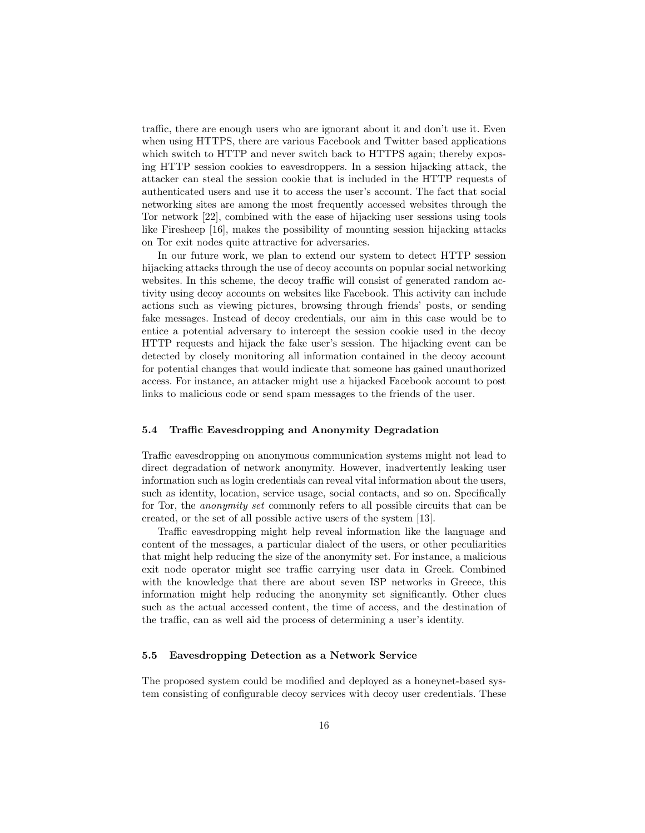traffic, there are enough users who are ignorant about it and don't use it. Even when using HTTPS, there are various Facebook and Twitter based applications which switch to HTTP and never switch back to HTTPS again; thereby exposing HTTP session cookies to eavesdroppers. In a session hijacking attack, the attacker can steal the session cookie that is included in the HTTP requests of authenticated users and use it to access the user's account. The fact that social networking sites are among the most frequently accessed websites through the Tor network [\[22\]](#page-19-7), combined with the ease of hijacking user sessions using tools like Firesheep [\[16\]](#page-19-6), makes the possibility of mounting session hijacking attacks on Tor exit nodes quite attractive for adversaries.

In our future work, we plan to extend our system to detect HTTP session hijacking attacks through the use of decoy accounts on popular social networking websites. In this scheme, the decoy traffic will consist of generated random activity using decoy accounts on websites like Facebook. This activity can include actions such as viewing pictures, browsing through friends' posts, or sending fake messages. Instead of decoy credentials, our aim in this case would be to entice a potential adversary to intercept the session cookie used in the decoy HTTP requests and hijack the fake user's session. The hijacking event can be detected by closely monitoring all information contained in the decoy account for potential changes that would indicate that someone has gained unauthorized access. For instance, an attacker might use a hijacked Facebook account to post links to malicious code or send spam messages to the friends of the user.

#### 5.4 Traffic Eavesdropping and Anonymity Degradation

Traffic eavesdropping on anonymous communication systems might not lead to direct degradation of network anonymity. However, inadvertently leaking user information such as login credentials can reveal vital information about the users, such as identity, location, service usage, social contacts, and so on. Specifically for Tor, the anonymity set commonly refers to all possible circuits that can be created, or the set of all possible active users of the system [\[13\]](#page-18-13).

Traffic eavesdropping might help reveal information like the language and content of the messages, a particular dialect of the users, or other peculiarities that might help reducing the size of the anonymity set. For instance, a malicious exit node operator might see traffic carrying user data in Greek. Combined with the knowledge that there are about seven ISP networks in Greece, this information might help reducing the anonymity set significantly. Other clues such as the actual accessed content, the time of access, and the destination of the traffic, can as well aid the process of determining a user's identity.

#### 5.5 Eavesdropping Detection as a Network Service

The proposed system could be modified and deployed as a honeynet-based system consisting of configurable decoy services with decoy user credentials. These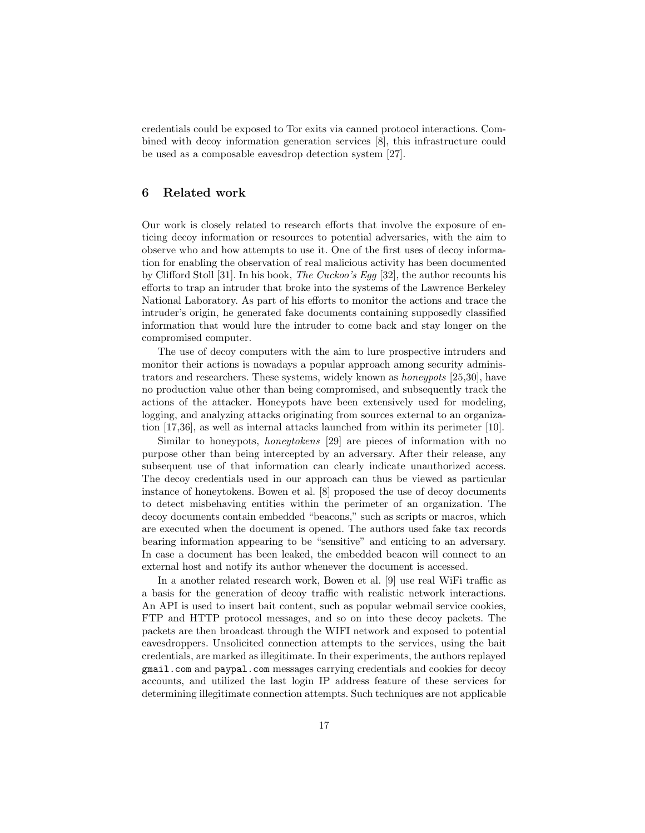credentials could be exposed to Tor exits via canned protocol interactions. Combined with decoy information generation services [\[8\]](#page-18-7), this infrastructure could be used as a composable eavesdrop detection system [\[27\]](#page-19-15).

# <span id="page-16-0"></span>6 Related work

Our work is closely related to research efforts that involve the exposure of enticing decoy information or resources to potential adversaries, with the aim to observe who and how attempts to use it. One of the first uses of decoy information for enabling the observation of real malicious activity has been documented by Clifford Stoll [\[31\]](#page-19-16). In his book, The Cuckoo's Egg [\[32\]](#page-19-17), the author recounts his efforts to trap an intruder that broke into the systems of the Lawrence Berkeley National Laboratory. As part of his efforts to monitor the actions and trace the intruder's origin, he generated fake documents containing supposedly classified information that would lure the intruder to come back and stay longer on the compromised computer.

The use of decoy computers with the aim to lure prospective intruders and monitor their actions is nowadays a popular approach among security administrators and researchers. These systems, widely known as honeypots [\[25,](#page-19-18)[30\]](#page-19-19), have no production value other than being compromised, and subsequently track the actions of the attacker. Honeypots have been extensively used for modeling, logging, and analyzing attacks originating from sources external to an organization [\[17,](#page-19-20)[36\]](#page-19-21), as well as internal attacks launched from within its perimeter [\[10\]](#page-18-12).

Similar to honeypots, honeytokens [\[29\]](#page-19-8) are pieces of information with no purpose other than being intercepted by an adversary. After their release, any subsequent use of that information can clearly indicate unauthorized access. The decoy credentials used in our approach can thus be viewed as particular instance of honeytokens. Bowen et al. [\[8\]](#page-18-7) proposed the use of decoy documents to detect misbehaving entities within the perimeter of an organization. The decoy documents contain embedded "beacons," such as scripts or macros, which are executed when the document is opened. The authors used fake tax records bearing information appearing to be "sensitive" and enticing to an adversary. In case a document has been leaked, the embedded beacon will connect to an external host and notify its author whenever the document is accessed.

In a another related research work, Bowen et al. [\[9\]](#page-18-6) use real WiFi traffic as a basis for the generation of decoy traffic with realistic network interactions. An API is used to insert bait content, such as popular webmail service cookies, FTP and HTTP protocol messages, and so on into these decoy packets. The packets are then broadcast through the WIFI network and exposed to potential eavesdroppers. Unsolicited connection attempts to the services, using the bait credentials, are marked as illegitimate. In their experiments, the authors replayed gmail.com and paypal.com messages carrying credentials and cookies for decoy accounts, and utilized the last login IP address feature of these services for determining illegitimate connection attempts. Such techniques are not applicable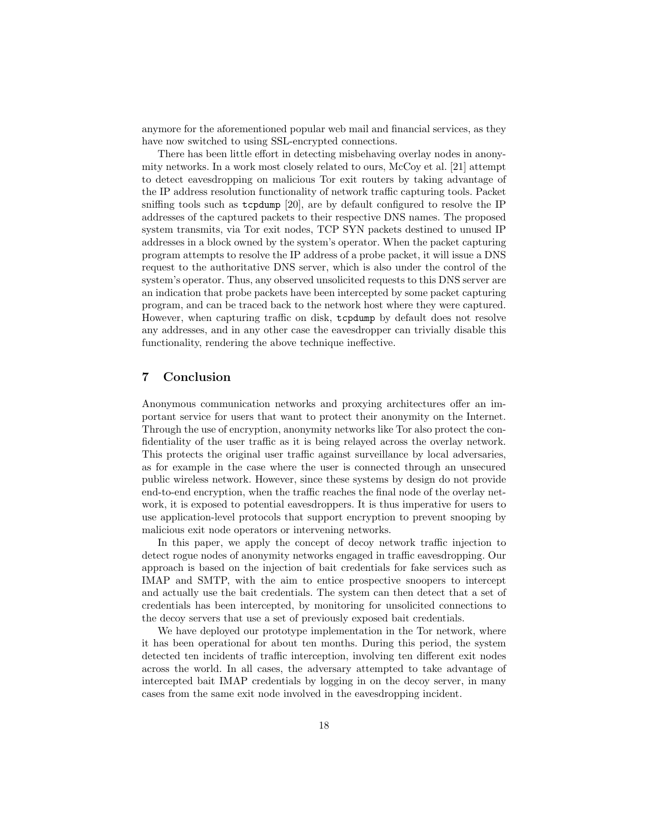anymore for the aforementioned popular web mail and financial services, as they have now switched to using SSL-encrypted connections.

There has been little effort in detecting misbehaving overlay nodes in anonymity networks. In a work most closely related to ours, McCoy et al. [\[21\]](#page-19-12) attempt to detect eavesdropping on malicious Tor exit routers by taking advantage of the IP address resolution functionality of network traffic capturing tools. Packet sniffing tools such as tcpdump [\[20\]](#page-19-9), are by default configured to resolve the IP addresses of the captured packets to their respective DNS names. The proposed system transmits, via Tor exit nodes, TCP SYN packets destined to unused IP addresses in a block owned by the system's operator. When the packet capturing program attempts to resolve the IP address of a probe packet, it will issue a DNS request to the authoritative DNS server, which is also under the control of the system's operator. Thus, any observed unsolicited requests to this DNS server are an indication that probe packets have been intercepted by some packet capturing program, and can be traced back to the network host where they were captured. However, when capturing traffic on disk, tcpdump by default does not resolve any addresses, and in any other case the eavesdropper can trivially disable this functionality, rendering the above technique ineffective.

## <span id="page-17-0"></span>7 Conclusion

Anonymous communication networks and proxying architectures offer an important service for users that want to protect their anonymity on the Internet. Through the use of encryption, anonymity networks like Tor also protect the confidentiality of the user traffic as it is being relayed across the overlay network. This protects the original user traffic against surveillance by local adversaries, as for example in the case where the user is connected through an unsecured public wireless network. However, since these systems by design do not provide end-to-end encryption, when the traffic reaches the final node of the overlay network, it is exposed to potential eavesdroppers. It is thus imperative for users to use application-level protocols that support encryption to prevent snooping by malicious exit node operators or intervening networks.

In this paper, we apply the concept of decoy network traffic injection to detect rogue nodes of anonymity networks engaged in traffic eavesdropping. Our approach is based on the injection of bait credentials for fake services such as IMAP and SMTP, with the aim to entice prospective snoopers to intercept and actually use the bait credentials. The system can then detect that a set of credentials has been intercepted, by monitoring for unsolicited connections to the decoy servers that use a set of previously exposed bait credentials.

We have deployed our prototype implementation in the Tor network, where it has been operational for about ten months. During this period, the system detected ten incidents of traffic interception, involving ten different exit nodes across the world. In all cases, the adversary attempted to take advantage of intercepted bait IMAP credentials by logging in on the decoy server, in many cases from the same exit node involved in the eavesdropping incident.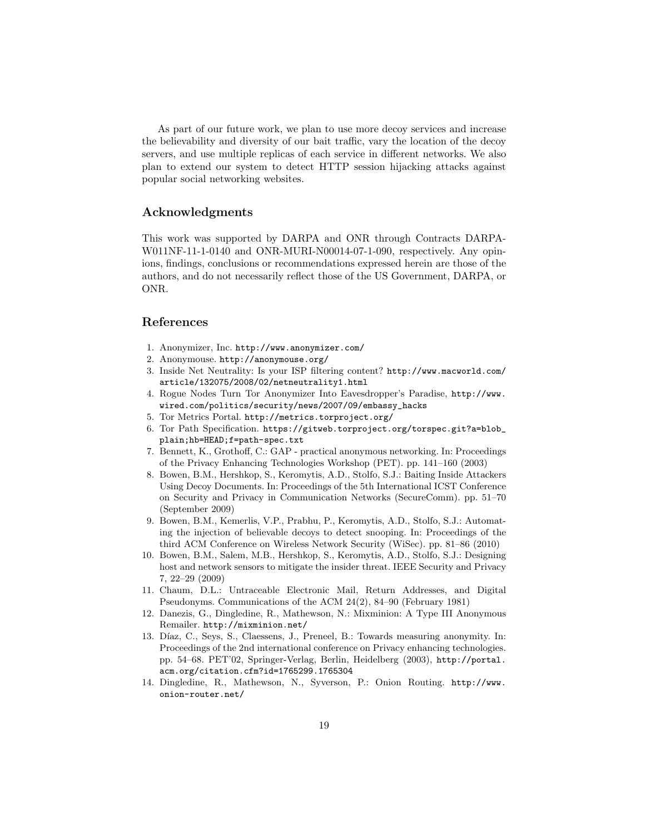As part of our future work, we plan to use more decoy services and increase the believability and diversity of our bait traffic, vary the location of the decoy servers, and use multiple replicas of each service in different networks. We also plan to extend our system to detect HTTP session hijacking attacks against popular social networking websites.

#### Acknowledgments

This work was supported by DARPA and ONR through Contracts DARPA-W011NF-11-1-0140 and ONR-MURI-N00014-07-1-090, respectively. Any opinions, findings, conclusions or recommendations expressed herein are those of the authors, and do not necessarily reflect those of the US Government, DARPA, or ONR.

# References

- <span id="page-18-0"></span>1. Anonymizer, Inc. <http://www.anonymizer.com/>
- <span id="page-18-1"></span>2. Anonymouse. <http://anonymouse.org/>
- <span id="page-18-5"></span>3. Inside Net Neutrality: Is your ISP filtering content? [http://www.macworld.com/](http://www.macworld.com/article/132075/2008/02/netneutrality1.html) [article/132075/2008/02/netneutrality1.html](http://www.macworld.com/article/132075/2008/02/netneutrality1.html)
- <span id="page-18-10"></span>4. Rogue Nodes Turn Tor Anonymizer Into Eavesdropper's Paradise, [http://www.](http://www.wired.com/politics/security/news/2007/09/embassy_hacks) [wired.com/politics/security/news/2007/09/embassy\\_hacks](http://www.wired.com/politics/security/news/2007/09/embassy_hacks)
- <span id="page-18-9"></span>5. Tor Metrics Portal. <http://metrics.torproject.org/>
- <span id="page-18-11"></span>6. Tor Path Specification. [https://gitweb.torproject.org/torspec.git?a=blob\\_](https://gitweb.torproject.org/torspec.git?a=blob_plain;hb=HEAD;f=path-spec.txt) [plain;hb=HEAD;f=path-spec.txt](https://gitweb.torproject.org/torspec.git?a=blob_plain;hb=HEAD;f=path-spec.txt)
- <span id="page-18-2"></span>7. Bennett, K., Grothoff, C.: GAP - practical anonymous networking. In: Proceedings of the Privacy Enhancing Technologies Workshop (PET). pp. 141–160 (2003)
- <span id="page-18-7"></span>8. Bowen, B.M., Hershkop, S., Keromytis, A.D., Stolfo, S.J.: Baiting Inside Attackers Using Decoy Documents. In: Proceedings of the 5th International ICST Conference on Security and Privacy in Communication Networks (SecureComm). pp. 51–70 (September 2009)
- <span id="page-18-6"></span>9. Bowen, B.M., Kemerlis, V.P., Prabhu, P., Keromytis, A.D., Stolfo, S.J.: Automating the injection of believable decoys to detect snooping. In: Proceedings of the third ACM Conference on Wireless Network Security (WiSec). pp. 81–86 (2010)
- <span id="page-18-12"></span>10. Bowen, B.M., Salem, M.B., Hershkop, S., Keromytis, A.D., Stolfo, S.J.: Designing host and network sensors to mitigate the insider threat. IEEE Security and Privacy 7, 22–29 (2009)
- <span id="page-18-4"></span>11. Chaum, D.L.: Untraceable Electronic Mail, Return Addresses, and Digital Pseudonyms. Communications of the ACM 24(2), 84–90 (February 1981)
- <span id="page-18-3"></span>12. Danezis, G., Dingledine, R., Mathewson, N.: Mixminion: A Type III Anonymous Remailer. <http://mixminion.net/>
- <span id="page-18-13"></span>13. Díaz, C., Seys, S., Claessens, J., Preneel, B.: Towards measuring anonymity. In: Proceedings of the 2nd international conference on Privacy enhancing technologies. pp. 54–68. PET'02, Springer-Verlag, Berlin, Heidelberg (2003), [http://portal.](http://portal.acm.org/citation.cfm?id=1765299.1765304) [acm.org/citation.cfm?id=1765299.1765304](http://portal.acm.org/citation.cfm?id=1765299.1765304)
- <span id="page-18-8"></span>14. Dingledine, R., Mathewson, N., Syverson, P.: Onion Routing. [http://www.](http://www.onion-router.net/) [onion-router.net/](http://www.onion-router.net/)